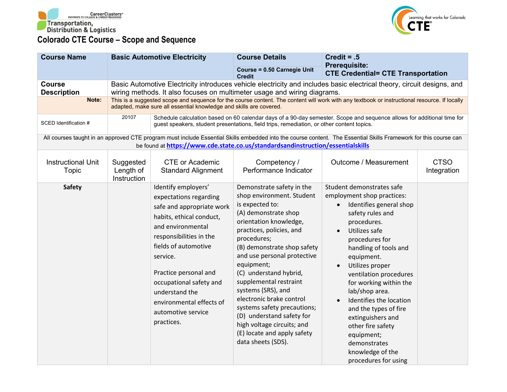



| <b>Course Name</b>                           |                                                                                                                                                                                                                                                                                                                                                                                                                          | <b>Basic Automotive Electricity</b>                                                                                                                                                                                                                                                                                              | <b>Course Details</b>                                                                                                                                                                                                                                                                                                                                                                                                                                                                                   | Credit = $.5$                                                                                                                                                                                                                                                                                                                                                                                                                                                                              |                            |  |
|----------------------------------------------|--------------------------------------------------------------------------------------------------------------------------------------------------------------------------------------------------------------------------------------------------------------------------------------------------------------------------------------------------------------------------------------------------------------------------|----------------------------------------------------------------------------------------------------------------------------------------------------------------------------------------------------------------------------------------------------------------------------------------------------------------------------------|---------------------------------------------------------------------------------------------------------------------------------------------------------------------------------------------------------------------------------------------------------------------------------------------------------------------------------------------------------------------------------------------------------------------------------------------------------------------------------------------------------|--------------------------------------------------------------------------------------------------------------------------------------------------------------------------------------------------------------------------------------------------------------------------------------------------------------------------------------------------------------------------------------------------------------------------------------------------------------------------------------------|----------------------------|--|
|                                              |                                                                                                                                                                                                                                                                                                                                                                                                                          |                                                                                                                                                                                                                                                                                                                                  | Course = 0.50 Carnegie Unit<br><b>Credit</b>                                                                                                                                                                                                                                                                                                                                                                                                                                                            | <b>Prerequisite:</b><br><b>CTE Credential= CTE Transportation</b>                                                                                                                                                                                                                                                                                                                                                                                                                          |                            |  |
| <b>Course</b><br><b>Description</b><br>Note: | Basic Automotive Electricity introduces vehicle electricity and includes basic electrical theory, circuit designs, and<br>wiring methods. It also focuses on multimeter usage and wiring diagrams.<br>This is a suggested scope and sequence for the course content. The content will work with any textbook or instructional resource. If locally<br>adapted, make sure all essential knowledge and skills are covered. |                                                                                                                                                                                                                                                                                                                                  |                                                                                                                                                                                                                                                                                                                                                                                                                                                                                                         |                                                                                                                                                                                                                                                                                                                                                                                                                                                                                            |                            |  |
| SCED Identification #                        | 20107                                                                                                                                                                                                                                                                                                                                                                                                                    | Schedule calculation based on 60 calendar days of a 90-day semester. Scope and sequence allows for additional time for<br>guest speakers, student presentations, field trips, remediation, or other content topics.                                                                                                              |                                                                                                                                                                                                                                                                                                                                                                                                                                                                                                         |                                                                                                                                                                                                                                                                                                                                                                                                                                                                                            |                            |  |
|                                              |                                                                                                                                                                                                                                                                                                                                                                                                                          |                                                                                                                                                                                                                                                                                                                                  | be found at https://www.cde.state.co.us/standardsandinstruction/essentialskills                                                                                                                                                                                                                                                                                                                                                                                                                         | All courses taught in an approved CTE program must include Essential Skills embedded into the course content. The Essential Skills Framework for this course can                                                                                                                                                                                                                                                                                                                           |                            |  |
| <b>Instructional Unit</b><br>Topic           | Suggested<br>Length of<br>Instruction                                                                                                                                                                                                                                                                                                                                                                                    | <b>CTE or Academic</b><br><b>Standard Alignment</b>                                                                                                                                                                                                                                                                              | Competency /<br>Performance Indicator                                                                                                                                                                                                                                                                                                                                                                                                                                                                   | Outcome / Measurement                                                                                                                                                                                                                                                                                                                                                                                                                                                                      | <b>CTSO</b><br>Integration |  |
| <b>Safety</b>                                |                                                                                                                                                                                                                                                                                                                                                                                                                          | Identify employers'<br>expectations regarding<br>safe and appropriate work<br>habits, ethical conduct,<br>and environmental<br>responsibilities in the<br>fields of automotive<br>service.<br>Practice personal and<br>occupational safety and<br>understand the<br>environmental effects of<br>automotive service<br>practices. | Demonstrate safety in the<br>shop environment. Student<br>is expected to:<br>(A) demonstrate shop<br>orientation knowledge,<br>practices, policies, and<br>procedures;<br>(B) demonstrate shop safety<br>and use personal protective<br>equipment;<br>(C) understand hybrid,<br>supplemental restraint<br>systems (SRS), and<br>electronic brake control<br>systems safety precautions;<br>(D) understand safety for<br>high voltage circuits; and<br>(E) locate and apply safety<br>data sheets (SDS). | Student demonstrates safe<br>employment shop practices:<br>Identifies general shop<br>$\bullet$<br>safety rules and<br>procedures.<br>Utilizes safe<br>$\bullet$<br>procedures for<br>handling of tools and<br>equipment.<br>Utilizes proper<br>ventilation procedures<br>for working within the<br>lab/shop area.<br>Identifies the location<br>and the types of fire<br>extinguishers and<br>other fire safety<br>equipment;<br>demonstrates<br>knowledge of the<br>procedures for using |                            |  |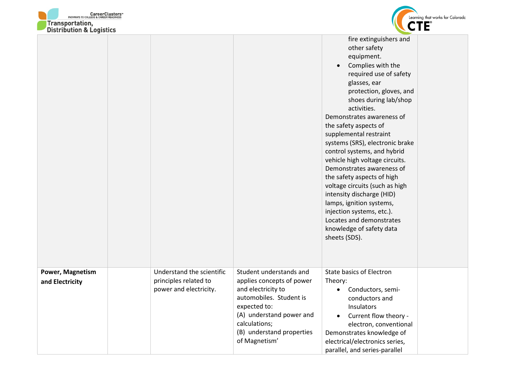



| DISTRIBUTION & LOGISTICS |                                                 |                                                                                                                                                                                       |                                                                                                                                                                                                                                                                                                                                                                                                                                                                                                                                                                                                                                                     |  |
|--------------------------|-------------------------------------------------|---------------------------------------------------------------------------------------------------------------------------------------------------------------------------------------|-----------------------------------------------------------------------------------------------------------------------------------------------------------------------------------------------------------------------------------------------------------------------------------------------------------------------------------------------------------------------------------------------------------------------------------------------------------------------------------------------------------------------------------------------------------------------------------------------------------------------------------------------------|--|
|                          |                                                 |                                                                                                                                                                                       | fire extinguishers and<br>other safety<br>equipment.<br>Complies with the<br>$\bullet$<br>required use of safety<br>glasses, ear<br>protection, gloves, and<br>shoes during lab/shop<br>activities.<br>Demonstrates awareness of<br>the safety aspects of<br>supplemental restraint<br>systems (SRS), electronic brake<br>control systems, and hybrid<br>vehicle high voltage circuits.<br>Demonstrates awareness of<br>the safety aspects of high<br>voltage circuits (such as high<br>intensity discharge (HID)<br>lamps, ignition systems,<br>injection systems, etc.).<br>Locates and demonstrates<br>knowledge of safety data<br>sheets (SDS). |  |
| Power, Magnetism         | Understand the scientific                       | Student understands and                                                                                                                                                               | <b>State basics of Electron</b>                                                                                                                                                                                                                                                                                                                                                                                                                                                                                                                                                                                                                     |  |
| and Electricity          | principles related to<br>power and electricity. | applies concepts of power<br>and electricity to<br>automobiles. Student is<br>expected to:<br>(A) understand power and<br>calculations;<br>(B) understand properties<br>of Magnetism' | Theory:<br>Conductors, semi-<br>$\bullet$<br>conductors and<br>Insulators<br>Current flow theory -<br>$\bullet$<br>electron, conventional<br>Demonstrates knowledge of<br>electrical/electronics series,<br>parallel, and series-parallel                                                                                                                                                                                                                                                                                                                                                                                                           |  |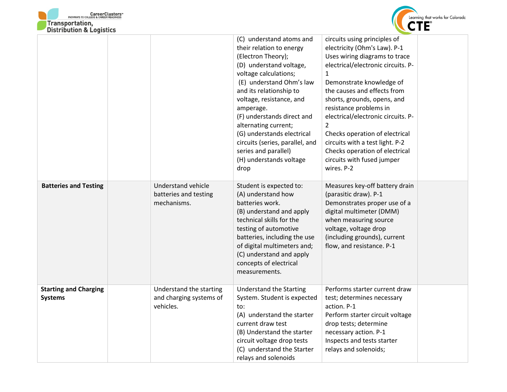



| DISTRIBUTION & LOGISTICS                       |                                                                   |                                                                                                                                                                                                                                                                                                                                                                                                                  |                                                                                                                                                                                                                                                                                                                                                                                                                                                                                    |
|------------------------------------------------|-------------------------------------------------------------------|------------------------------------------------------------------------------------------------------------------------------------------------------------------------------------------------------------------------------------------------------------------------------------------------------------------------------------------------------------------------------------------------------------------|------------------------------------------------------------------------------------------------------------------------------------------------------------------------------------------------------------------------------------------------------------------------------------------------------------------------------------------------------------------------------------------------------------------------------------------------------------------------------------|
|                                                |                                                                   | (C) understand atoms and<br>their relation to energy<br>(Electron Theory);<br>(D) understand voltage,<br>voltage calculations;<br>(E) understand Ohm's law<br>and its relationship to<br>voltage, resistance, and<br>amperage.<br>(F) understands direct and<br>alternating current;<br>(G) understands electrical<br>circuits (series, parallel, and<br>series and parallel)<br>(H) understands voltage<br>drop | circuits using principles of<br>electricity (Ohm's Law). P-1<br>Uses wiring diagrams to trace<br>electrical/electronic circuits. P-<br>$\mathbf{1}$<br>Demonstrate knowledge of<br>the causes and effects from<br>shorts, grounds, opens, and<br>resistance problems in<br>electrical/electronic circuits. P-<br>$\overline{2}$<br>Checks operation of electrical<br>circuits with a test light. P-2<br>Checks operation of electrical<br>circuits with fused jumper<br>wires. P-2 |
| <b>Batteries and Testing</b>                   | <b>Understand vehicle</b><br>batteries and testing<br>mechanisms. | Student is expected to:<br>(A) understand how<br>batteries work.<br>(B) understand and apply<br>technical skills for the<br>testing of automotive<br>batteries, including the use<br>of digital multimeters and;<br>(C) understand and apply<br>concepts of electrical<br>measurements.                                                                                                                          | Measures key-off battery drain<br>(parasitic draw). P-1<br>Demonstrates proper use of a<br>digital multimeter (DMM)<br>when measuring source<br>voltage, voltage drop<br>(including grounds), current<br>flow, and resistance. P-1                                                                                                                                                                                                                                                 |
| <b>Starting and Charging</b><br><b>Systems</b> | Understand the starting<br>and charging systems of<br>vehicles.   | <b>Understand the Starting</b><br>System. Student is expected<br>to:<br>(A) understand the starter<br>current draw test<br>(B) Understand the starter<br>circuit voltage drop tests<br>(C) understand the Starter<br>relays and solenoids                                                                                                                                                                        | Performs starter current draw<br>test; determines necessary<br>action. P-1<br>Perform starter circuit voltage<br>drop tests; determine<br>necessary action. P-1<br>Inspects and tests starter<br>relays and solenoids;                                                                                                                                                                                                                                                             |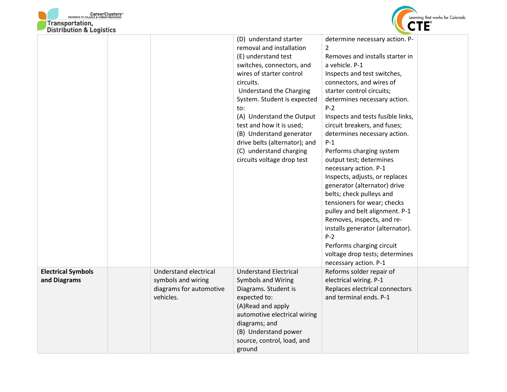



| DISTRIBUTION & LOGISTICS                  |                                             |                                                                                                                                                                                                                                                                                                                                                                                                        |                                                                                                                                                                                                                                                                                                                                                                                                                                                                                                                                                                                                                                                                                                                                                           |
|-------------------------------------------|---------------------------------------------|--------------------------------------------------------------------------------------------------------------------------------------------------------------------------------------------------------------------------------------------------------------------------------------------------------------------------------------------------------------------------------------------------------|-----------------------------------------------------------------------------------------------------------------------------------------------------------------------------------------------------------------------------------------------------------------------------------------------------------------------------------------------------------------------------------------------------------------------------------------------------------------------------------------------------------------------------------------------------------------------------------------------------------------------------------------------------------------------------------------------------------------------------------------------------------|
|                                           |                                             | (D) understand starter<br>removal and installation<br>(E) understand test<br>switches, connectors, and<br>wires of starter control<br>circuits.<br><b>Understand the Charging</b><br>System. Student is expected<br>to:<br>(A) Understand the Output<br>test and how it is used;<br>(B) Understand generator<br>drive belts (alternator); and<br>(C) understand charging<br>circuits voltage drop test | determine necessary action. P-<br>2<br>Removes and installs starter in<br>a vehicle. P-1<br>Inspects and test switches,<br>connectors, and wires of<br>starter control circuits;<br>determines necessary action.<br>$P-2$<br>Inspects and tests fusible links,<br>circuit breakers, and fuses;<br>determines necessary action.<br>$P-1$<br>Performs charging system<br>output test; determines<br>necessary action. P-1<br>Inspects, adjusts, or replaces<br>generator (alternator) drive<br>belts; check pulleys and<br>tensioners for wear; checks<br>pulley and belt alignment. P-1<br>Removes, inspects, and re-<br>installs generator (alternator).<br>$P-2$<br>Performs charging circuit<br>voltage drop tests; determines<br>necessary action. P-1 |
| <b>Electrical Symbols</b><br>and Diagrams | Understand electrical<br>symbols and wiring | <b>Understand Electrical</b><br>Symbols and Wiring                                                                                                                                                                                                                                                                                                                                                     | Reforms solder repair of<br>electrical wiring. P-1                                                                                                                                                                                                                                                                                                                                                                                                                                                                                                                                                                                                                                                                                                        |
|                                           | diagrams for automotive<br>vehicles.        | Diagrams. Student is<br>expected to:<br>(A)Read and apply<br>automotive electrical wiring<br>diagrams; and<br>(B) Understand power<br>source, control, load, and<br>ground                                                                                                                                                                                                                             | Replaces electrical connectors<br>and terminal ends. P-1                                                                                                                                                                                                                                                                                                                                                                                                                                                                                                                                                                                                                                                                                                  |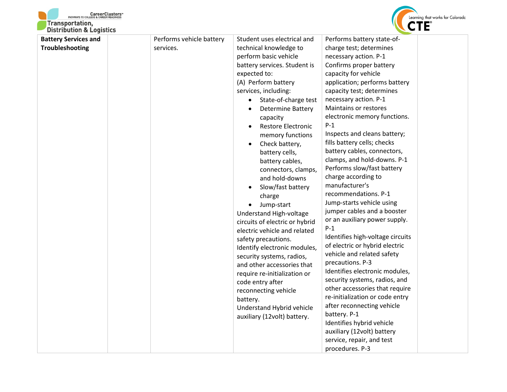



| <b>Battery Services and</b><br><b>Troubleshooting</b> | Performs vehicle battery<br>services. | expected to:<br>$\bullet$<br>$\bullet$<br>battery. | Student uses electrical and<br>technical knowledge to<br>perform basic vehicle<br>battery services. Student is<br>(A) Perform battery<br>services, including:<br>State-of-charge test<br><b>Determine Battery</b><br>capacity<br><b>Restore Electronic</b><br>memory functions<br>Check battery,<br>battery cells,<br>battery cables,<br>connectors, clamps,<br>and hold-downs<br>Slow/fast battery<br>charge<br>Jump-start<br>Understand High-voltage<br>circuits of electric or hybrid<br>electric vehicle and related<br>safety precautions.<br>Identify electronic modules,<br>security systems, radios,<br>and other accessories that<br>require re-initialization or<br>code entry after<br>reconnecting vehicle<br>Understand Hybrid vehicle<br>auxiliary (12volt) battery. | Performs battery state-of-<br>charge test; determines<br>necessary action. P-1<br>Confirms proper battery<br>capacity for vehicle<br>application; performs battery<br>capacity test; determines<br>necessary action. P-1<br>Maintains or restores<br>electronic memory functions.<br>$P-1$<br>Inspects and cleans battery;<br>fills battery cells; checks<br>battery cables, connectors,<br>clamps, and hold-downs. P-1<br>Performs slow/fast battery<br>charge according to<br>manufacturer's<br>recommendations. P-1<br>Jump-starts vehicle using<br>jumper cables and a booster<br>or an auxiliary power supply.<br>$P-1$<br>Identifies high-voltage circuits<br>of electric or hybrid electric<br>vehicle and related safety<br>precautions. P-3<br>Identifies electronic modules,<br>security systems, radios, and<br>other accessories that require<br>re-initialization or code entry<br>after reconnecting vehicle<br>battery. P-1<br>Identifies hybrid vehicle<br>auxiliary (12volt) battery<br>service, repair, and test<br>procedures. P-3 |  |
|-------------------------------------------------------|---------------------------------------|----------------------------------------------------|------------------------------------------------------------------------------------------------------------------------------------------------------------------------------------------------------------------------------------------------------------------------------------------------------------------------------------------------------------------------------------------------------------------------------------------------------------------------------------------------------------------------------------------------------------------------------------------------------------------------------------------------------------------------------------------------------------------------------------------------------------------------------------|-------------------------------------------------------------------------------------------------------------------------------------------------------------------------------------------------------------------------------------------------------------------------------------------------------------------------------------------------------------------------------------------------------------------------------------------------------------------------------------------------------------------------------------------------------------------------------------------------------------------------------------------------------------------------------------------------------------------------------------------------------------------------------------------------------------------------------------------------------------------------------------------------------------------------------------------------------------------------------------------------------------------------------------------------------|--|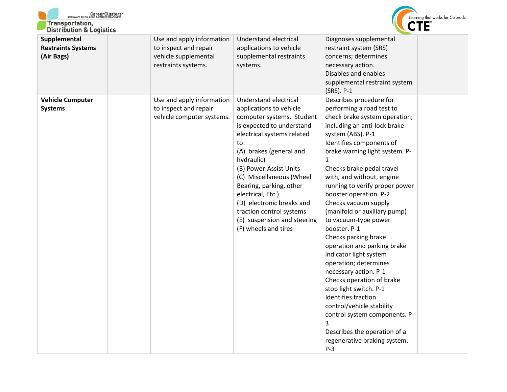



| Supplemental                              | Use and apply information                                                       | Understand electrical                                                                                                                                                                                                                                                                                                                                                                                          | Diagnoses supplemental                                                                                                                                                                                                                                                                                                                                                                                                                                                                                                                                                                                                                                                                                                                                                                           |  |
|-------------------------------------------|---------------------------------------------------------------------------------|----------------------------------------------------------------------------------------------------------------------------------------------------------------------------------------------------------------------------------------------------------------------------------------------------------------------------------------------------------------------------------------------------------------|--------------------------------------------------------------------------------------------------------------------------------------------------------------------------------------------------------------------------------------------------------------------------------------------------------------------------------------------------------------------------------------------------------------------------------------------------------------------------------------------------------------------------------------------------------------------------------------------------------------------------------------------------------------------------------------------------------------------------------------------------------------------------------------------------|--|
| <b>Restraints Systems</b><br>(Air Bags)   | to inspect and repair<br>vehicle supplemental<br>restraints systems.            | applications to vehicle<br>supplemental restraints<br>systems.                                                                                                                                                                                                                                                                                                                                                 | restraint system (SRS)<br>concerns; determines<br>necessary action.<br>Disables and enables<br>supplemental restraint system<br>(SRS). P-1                                                                                                                                                                                                                                                                                                                                                                                                                                                                                                                                                                                                                                                       |  |
| <b>Vehicle Computer</b><br><b>Systems</b> | Use and apply information<br>to inspect and repair<br>vehicle computer systems. | Understand electrical<br>applications to vehicle<br>computer systems. Student<br>is expected to understand<br>electrical systems related<br>to:<br>(A) brakes (general and<br>hydraulic)<br>(B) Power-Assist Units<br>(C) Miscellaneous (Wheel<br>Bearing, parking, other<br>electrical, Etc.)<br>(D) electronic breaks and<br>traction control systems<br>(E) suspension and steering<br>(F) wheels and tires | Describes procedure for<br>performing a road test to<br>check brake system operation;<br>including an anti-lock brake<br>system (ABS). P-1<br>Identifies components of<br>brake warning light system. P-<br>1<br>Checks brake pedal travel<br>with, and without, engine<br>running to verify proper power<br>booster operation. P-2<br>Checks vacuum supply<br>(manifold or auxiliary pump)<br>to vacuum-type power<br>booster. P-1<br>Checks parking brake<br>operation and parking brake<br>indicator light system<br>operation; determines<br>necessary action. P-1<br>Checks operation of brake<br>stop light switch. P-1<br>Identifies traction<br>control/vehicle stability<br>control system components. P-<br>3<br>Describes the operation of a<br>regenerative braking system.<br>$P-3$ |  |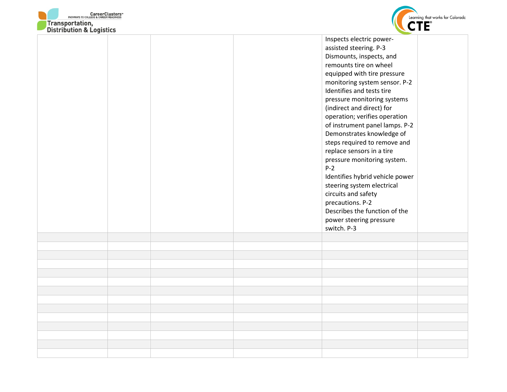



| DISTRIBUTION & LOGISTICS |  | $\sim$                          |
|--------------------------|--|---------------------------------|
|                          |  | Inspects electric power-        |
|                          |  | assisted steering. P-3          |
|                          |  | Dismounts, inspects, and        |
|                          |  | remounts tire on wheel          |
|                          |  | equipped with tire pressure     |
|                          |  | monitoring system sensor. P-2   |
|                          |  | Identifies and tests tire       |
|                          |  | pressure monitoring systems     |
|                          |  | (indirect and direct) for       |
|                          |  | operation; verifies operation   |
|                          |  | of instrument panel lamps. P-2  |
|                          |  | Demonstrates knowledge of       |
|                          |  | steps required to remove and    |
|                          |  | replace sensors in a tire       |
|                          |  | pressure monitoring system.     |
|                          |  | $P-2$                           |
|                          |  | Identifies hybrid vehicle power |
|                          |  | steering system electrical      |
|                          |  | circuits and safety             |
|                          |  | precautions. P-2                |
|                          |  | Describes the function of the   |
|                          |  | power steering pressure         |
|                          |  | switch. P-3                     |
|                          |  |                                 |
|                          |  |                                 |
|                          |  |                                 |
|                          |  |                                 |
|                          |  |                                 |
|                          |  |                                 |
|                          |  |                                 |
|                          |  |                                 |
|                          |  |                                 |
|                          |  |                                 |
|                          |  |                                 |
|                          |  |                                 |
|                          |  |                                 |
|                          |  |                                 |
|                          |  |                                 |